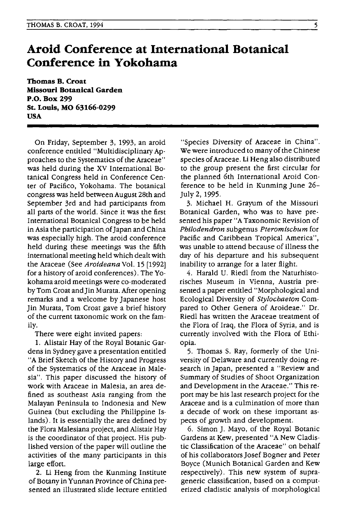## **Aroid Conference at International Botanical Conference in Yokohama**

**Thomas B. Croat Missouri Botanical Garden P.O. Box 299 St. Louis, MO 63166-0299 USA** 

On Friday, September 3, 1993, an aroid conference entitled "Multidisciplinary Approaches to the Systematics of the Araceae" was held during the XV International Botanical Congress held in Conference Center of Pacifico, Yokohama. The botanical congress was held between August 28th and September 3rd and had participants from all parts of the world. Since it was the first International Botanical Congress to be held in Asia the participation of Japan and China was especially high. The aroid conference held during these meetings was the fifth international meeting held which dealt with the Araceae (See *Aroideana* Vol. 15 [1992] for a history of aroid conferences). The Yokohama aroid meetings were co-moderated by Tom Croat and Jin Murata. After opening remarks and a welcome by Japanese host Jin Murata, Tom Croat gave a brief history of the current taxonomic work on the family.

There were eight invited papers:

1. Alistair Hay of the Royal Botanic Gardens in Sydney gave a presentation entitled "A Brief Sketch of the History and Progress of the Systematics of the Araceae in Malesia". This paper discussed the history of work with Araceae in Malesia, an area defined as southeast Asia ranging from the Malayan Peninsula to Indonesia and New Guinea (but excluding the Philippine Islands). It is essentially the area defined by the Flora Malesiana project, and Alistair Hay is the coordinator of that project. His published version of the paper will outline the activities of the many participants in this large effort.

2. Li Heng from the Kunming Institute of Botany in Yunnan Province of China presented an illustrated slide lecture entitled

"Species Diversity of Araceae in China". We were introduced to many of the Chinese species of Araceae. Li Heng also distributed to the group present the first circular for the planned 6th International Aroid Conference to be held in Kunming June 26- July 2, 1995.

3. Michael H. Grayum of the Missouri Botanical Garden, who was to have presented his paper "A Taxonomic Revision of *Philodendron* subgenus *Pteromischum* for Pacific and Caribbean Tropical America", was unable to attend because of illness the day of his departure and his subsequent inability to arrange for a later flight.

4. Harald U. Riedl from the Naturhistorisches Museum in Vienna, Austria presented a paper entitled "Morphological and Ecological DiverSity of *Stylochaeton* Compared to Other Genera of Aroideae." Dr. Riedl has written the Araceae treatment of the Flora of Iraq, the Flora of Syria, and is currently involved with the Flora of Ethiopia.

5. Thomas S. Ray, formerly of the University of Delaware and currently doing research in Japan, presented a "Review and Summary of Studies of Shoot Organization and Development in the Araceae." This report may be his last research project for the Araceae and is a culmination of more than a decade of work on these important aspects of growth and development.

6. Simon J. Mayo, of the Royal Botanic Gardens at Kew, presented "A New Cladistic Classification of the Araceae" on behalf of his collaborators Josef Bogner and Peter Boyce (Munich Botanical Garden and Kew respectively). This new system of suprageneric classification, based on a computerized cladistic analysis of morphological